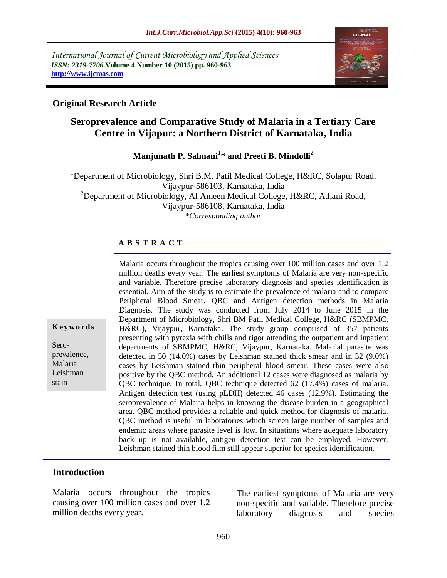*International Journal of Current Microbiology and Applied Sciences ISSN: 2319-7706* **Volume 4 Number 10 (2015) pp. 960-963 http://www.ijcmas.com** 



# **Original Research Article**

# **Seroprevalence and Comparative Study of Malaria in a Tertiary Care Centre in Vijapur: a Northern District of Karnataka, India**

**Manjunath P. Salmani<sup>1</sup> \* and Preeti B. Mindolli<sup>2</sup>**

<sup>1</sup>Department of Microbiology, Shri B.M. Patil Medical College, H&RC, Solapur Road, Vijaypur-586103, Karnataka, India <sup>2</sup>Department of Microbiology, Al Ameen Medical College, H&RC, Athani Road, Vijaypur-586108, Karnataka, India *\*Corresponding author*

#### **A B S T R A C T**

Malaria occurs throughout the tropics causing over 100 million cases and over 1.2 million deaths every year. The earliest symptoms of Malaria are very non-specific and variable. Therefore precise laboratory diagnosis and species identification is essential. Aim of the study is to estimate the prevalence of malaria and to compare Peripheral Blood Smear, QBC and Antigen detection methods in Malaria Diagnosis. The study was conducted from July 2014 to June 2015 in the Department of Microbiology, Shri BM Patil Medical College, H&RC (SBMPMC, H&RC), Vijaypur, Karnataka. The study group comprised of 357 patients presenting with pyrexia with chills and rigor attending the outpatient and inpatient departments of SBMPMC, H&RC, Vijaypur, Karnataka. Malarial parasite was detected in 50 (14.0%) cases by Leishman stained thick smear and in 32 (9.0%) cases by Leishman stained thin peripheral blood smear. These cases were also positive by the QBC method. An additional 12 cases were diagnosed as malaria by QBC technique. In total, QBC technique detected 62 (17.4%) cases of malaria. Antigen detection test (using pLDH) detected 46 cases (12.9%). Estimating the seroprevalence of Malaria helps in knowing the disease burden in a geographical area. QBC method provides a reliable and quick method for diagnosis of malaria. QBC method is useful in laboratories which screen large number of samples and endemic areas where parasite level is low. In situations where adequate laboratory back up is not available, antigen detection test can be employed. However, Leishman stained thin blood film still appear superior for species identification.

#### **Introduction**

**K ey w o rd s**

Seroprevalence, Malaria Leishman stain

Malaria occurs throughout the tropics causing over 100 million cases and over 1.2 million deaths every year.

The earliest symptoms of Malaria are very non-specific and variable. Therefore precise laboratory diagnosis and species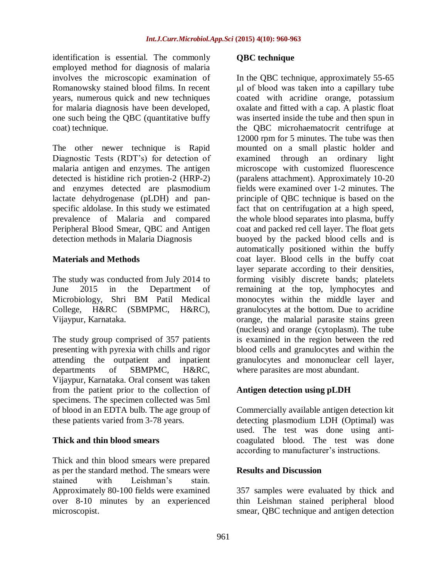identification is essential. The commonly employed method for diagnosis of malaria involves the microscopic examination of Romanowsky stained blood films. In recent years, numerous quick and new techniques for malaria diagnosis have been developed, one such being the QBC (quantitative buffy coat) technique.

The other newer technique is Rapid Diagnostic Tests (RDT's) for detection of malaria antigen and enzymes. The antigen detected is histidine rich protien-2 (HRP-2) and enzymes detected are plasmodium lactate dehydrogenase (pLDH) and panspecific aldolase. In this study we estimated prevalence of Malaria and compared Peripheral Blood Smear, QBC and Antigen detection methods in Malaria Diagnosis

## **Materials and Methods**

The study was conducted from July 2014 to June 2015 in the Department of Microbiology, Shri BM Patil Medical College, H&RC (SBMPMC, H&RC), Vijaypur, Karnataka.

The study group comprised of 357 patients presenting with pyrexia with chills and rigor attending the outpatient and inpatient departments of SBMPMC, H&RC, Vijaypur, Karnataka. Oral consent was taken from the patient prior to the collection of specimens. The specimen collected was 5ml of blood in an EDTA bulb. The age group of these patients varied from 3-78 years.

#### **Thick and thin blood smears**

Thick and thin blood smears were prepared as per the standard method. The smears were stained with Leishman's stain Approximately 80-100 fields were examined over 8-10 minutes by an experienced microscopist.

## **QBC technique**

In the QBC technique, approximately 55-65 μl of blood was taken into a capillary tube coated with acridine orange, potassium oxalate and fitted with a cap. A plastic float was inserted inside the tube and then spun in the QBC microhaematocrit centrifuge at 12000 rpm for 5 minutes. The tube was then mounted on a small plastic holder and examined through an ordinary light microscope with customized fluorescence (paralens attachment). Approximately 10-20 fields were examined over 1-2 minutes. The principle of QBC technique is based on the fact that on centrifugation at a high speed, the whole blood separates into plasma, buffy coat and packed red cell layer. The float gets buoyed by the packed blood cells and is automatically positioned within the buffy coat layer. Blood cells in the buffy coat layer separate according to their densities, forming visibly discrete bands; platelets remaining at the top, lymphocytes and monocytes within the middle layer and granulocytes at the bottom. Due to acridine orange, the malarial parasite stains green (nucleus) and orange (cytoplasm). The tube is examined in the region between the red blood cells and granulocytes and within the granulocytes and mononuclear cell layer, where parasites are most abundant.

# **Antigen detection using pLDH**

Commercially available antigen detection kit detecting plasmodium LDH (Optimal) was used. The test was done using anticoagulated blood. The test was done according to manufacturer's instructions.

#### **Results and Discussion**

357 samples were evaluated by thick and thin Leishman stained peripheral blood smear, QBC technique and antigen detection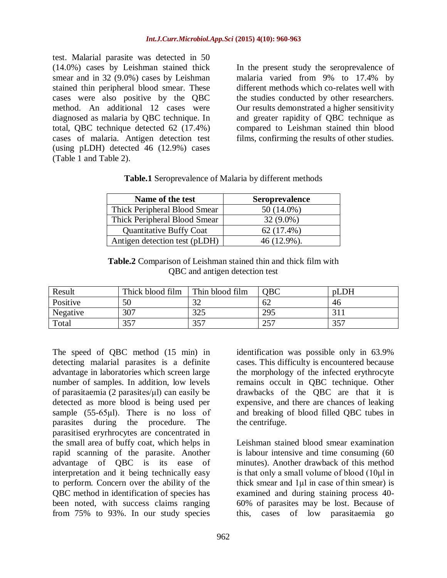test. Malarial parasite was detected in 50 (14.0%) cases by Leishman stained thick smear and in 32 (9.0%) cases by Leishman stained thin peripheral blood smear. These cases were also positive by the QBC method. An additional 12 cases were diagnosed as malaria by QBC technique. In total, QBC technique detected 62 (17.4%) cases of malaria. Antigen detection test (using pLDH) detected 46 (12.9%) cases (Table 1 and Table 2).

In the present study the seroprevalence of malaria varied from 9% to 17.4% by different methods which co-relates well with the studies conducted by other researchers. Our results demonstrated a higher sensitivity and greater rapidity of QBC technique as compared to Leishman stained thin blood films, confirming the results of other studies.

| <b>Table.1</b> Seroprevalence of Malaria by different methods |  |  |  |
|---------------------------------------------------------------|--|--|--|
|---------------------------------------------------------------|--|--|--|

| Name of the test               | <b>Seroprevalence</b> |
|--------------------------------|-----------------------|
| Thick Peripheral Blood Smear   | $50(14.0\%)$          |
| Thick Peripheral Blood Smear   | $32(9.0\%)$           |
| <b>Quantitative Buffy Coat</b> | $62(17.4\%)$          |
| Antigen detection test (pLDH)  | $46(12.9\%)$ .        |

**Table.2** Comparison of Leishman stained thin and thick film with QBC and antigen detection test

| Result   | Thick blood film | Thin blood film | <b>OBC</b>                      | pLDH |
|----------|------------------|-----------------|---------------------------------|------|
| Positive | 50               | $\sim$<br>ے ر   | 62                              | 46   |
| Negative | 307              | 325             | 295                             |      |
| Total    | 357              | 357             | つくつ<br>$\overline{\phantom{a}}$ | 357  |

The speed of QBC method (15 min) in detecting malarial parasites is a definite advantage in laboratories which screen large number of samples. In addition, low levels of parasitaemia (2 parasites/ $\mu$ l) can easily be detected as more blood is being used per sample (55-65μl). There is no loss of parasites during the procedure. The parasitised eryrhrocytes are concentrated in the small area of buffy coat, which helps in rapid scanning of the parasite. Another advantage of QBC is its ease of interpretation and it being technically easy to perform. Concern over the ability of the QBC method in identification of species has been noted, with success claims ranging from 75% to 93%. In our study species

identification was possible only in 63.9% cases. This difficulty is encountered because the morphology of the infected erythrocyte remains occult in QBC technique. Other drawbacks of the QBC are that it is expensive, and there are chances of leaking and breaking of blood filled QBC tubes in the centrifuge.

Leishman stained blood smear examination is labour intensive and time consuming (60 minutes). Another drawback of this method is that only a small volume of blood (10μl in thick smear and 1μl in case of thin smear) is examined and during staining process 40- 60% of parasites may be lost. Because of this, cases of low parasitaemia go